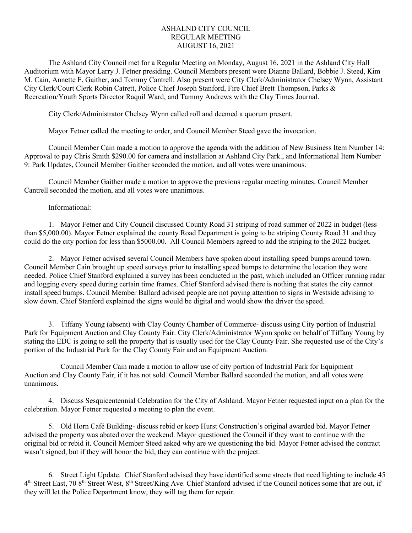# ASHALND CITY COUNCIL REGULAR MEETING AUGUST 16, 2021

The Ashland City Council met for a Regular Meeting on Monday, August 16, 2021 in the Ashland City Hall Auditorium with Mayor Larry J. Fetner presiding. Council Members present were Dianne Ballard, Bobbie J. Steed, Kim M. Cain, Annette F. Gaither, and Tommy Cantrell. Also present were City Clerk/Administrator Chelsey Wynn, Assistant City Clerk/Court Clerk Robin Catrett, Police Chief Joseph Stanford, Fire Chief Brett Thompson, Parks & Recreation/Youth Sports Director Raquil Ward, and Tammy Andrews with the Clay Times Journal.

City Clerk/Administrator Chelsey Wynn called roll and deemed a quorum present.

Mayor Fetner called the meeting to order, and Council Member Steed gave the invocation.

Council Member Cain made a motion to approve the agenda with the addition of New Business Item Number 14: Approval to pay Chris Smith \$290.00 for camera and installation at Ashland City Park., and Informational Item Number 9: Park Updates, Council Member Gaither seconded the motion, and all votes were unanimous.

Council Member Gaither made a motion to approve the previous regular meeting minutes. Council Member Cantrell seconded the motion, and all votes were unanimous.

# Informational:

1. Mayor Fetner and City Council discussed County Road 31 striping of road summer of 2022 in budget (less than \$5,000.00). Mayor Fetner explained the county Road Department is going to be striping County Road 31 and they could do the city portion for less than \$5000.00. All Council Members agreed to add the striping to the 2022 budget.

2. Mayor Fetner advised several Council Members have spoken about installing speed bumps around town. Council Member Cain brought up speed surveys prior to installing speed bumps to determine the location they were needed. Police Chief Stanford explained a survey has been conducted in the past, which included an Officer running radar and logging every speed during certain time frames. Chief Stanford advised there is nothing that states the city cannot install speed bumps. Council Member Ballard advised people are not paying attention to signs in Westside advising to slow down. Chief Stanford explained the signs would be digital and would show the driver the speed.

3. Tiffany Young (absent) with Clay County Chamber of Commerce- discuss using City portion of Industrial Park for Equipment Auction and Clay County Fair. City Clerk/Administrator Wynn spoke on behalf of Tiffany Young by stating the EDC is going to sell the property that is usually used for the Clay County Fair. She requested use of the City's portion of the Industrial Park for the Clay County Fair and an Equipment Auction.

Council Member Cain made a motion to allow use of city portion of Industrial Park for Equipment Auction and Clay County Fair, if it has not sold. Council Member Ballard seconded the motion, and all votes were unanimous.

4. Discuss Sesquicentennial Celebration for the City of Ashland. Mayor Fetner requested input on a plan for the celebration. Mayor Fetner requested a meeting to plan the event.

5. Old Horn Café Building- discuss rebid or keep Hurst Construction's original awarded bid. Mayor Fetner advised the property was abated over the weekend. Mayor questioned the Council if they want to continue with the original bid or rebid it. Council Member Steed asked why are we questioning the bid. Mayor Fetner advised the contract wasn't signed, but if they will honor the bid, they can continue with the project.

6. Street Light Update. Chief Stanford advised they have identified some streets that need lighting to include 45 4<sup>th</sup> Street East, 70 8<sup>th</sup> Street West, 8<sup>th</sup> Street/King Ave. Chief Stanford advised if the Council notices some that are out, if they will let the Police Department know, they will tag them for repair.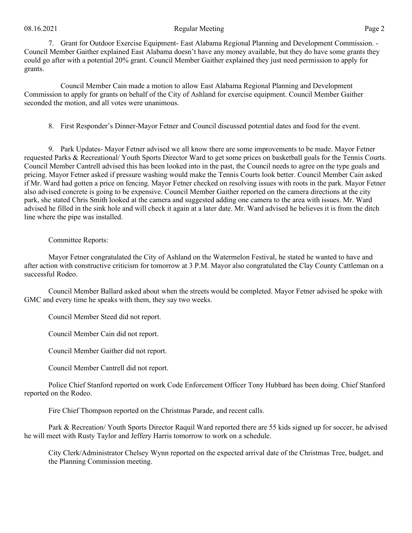### 08.16.2021 **Regular Meeting** Page 2

7. Grant for Outdoor Exercise Equipment- East Alabama Regional Planning and Development Commission. - Council Member Gaither explained East Alabama doesn't have any money available, but they do have some grants they could go after with a potential 20% grant. Council Member Gaither explained they just need permission to apply for grants.

Council Member Cain made a motion to allow East Alabama Regional Planning and Development Commission to apply for grants on behalf of the City of Ashland for exercise equipment. Council Member Gaither seconded the motion, and all votes were unanimous.

8. First Responder's Dinner-Mayor Fetner and Council discussed potential dates and food for the event.

9. Park Updates- Mayor Fetner advised we all know there are some improvements to be made. Mayor Fetner requested Parks & Recreational/ Youth Sports Director Ward to get some prices on basketball goals for the Tennis Courts. Council Member Cantrell advised this has been looked into in the past, the Council needs to agree on the type goals and pricing. Mayor Fetner asked if pressure washing would make the Tennis Courts look better. Council Member Cain asked if Mr. Ward had gotten a price on fencing. Mayor Fetner checked on resolving issues with roots in the park. Mayor Fetner also advised concrete is going to be expensive. Council Member Gaither reported on the camera directions at the city park, she stated Chris Smith looked at the camera and suggested adding one camera to the area with issues. Mr. Ward advised he filled in the sink hole and will check it again at a later date. Mr. Ward advised he believes it is from the ditch line where the pipe was installed.

# Committee Reports:

Mayor Fetner congratulated the City of Ashland on the Watermelon Festival, he stated he wanted to have and after action with constructive criticism for tomorrow at 3 P.M. Mayor also congratulated the Clay County Cattleman on a successful Rodeo.

Council Member Ballard asked about when the streets would be completed. Mayor Fetner advised he spoke with GMC and every time he speaks with them, they say two weeks.

Council Member Steed did not report.

Council Member Cain did not report.

Council Member Gaither did not report.

Council Member Cantrell did not report.

Police Chief Stanford reported on work Code Enforcement Officer Tony Hubbard has been doing. Chief Stanford reported on the Rodeo.

Fire Chief Thompson reported on the Christmas Parade, and recent calls.

Park & Recreation/ Youth Sports Director Raquil Ward reported there are 55 kids signed up for soccer, he advised he will meet with Rusty Taylor and Jeffery Harris tomorrow to work on a schedule.

City Clerk/Administrator Chelsey Wynn reported on the expected arrival date of the Christmas Tree, budget, and the Planning Commission meeting.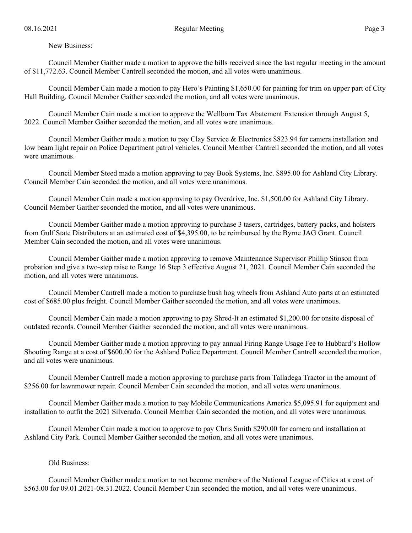New Business:

Council Member Gaither made a motion to approve the bills received since the last regular meeting in the amount of \$11,772.63. Council Member Cantrell seconded the motion, and all votes were unanimous.

Council Member Cain made a motion to pay Hero's Painting \$1,650.00 for painting for trim on upper part of City Hall Building. Council Member Gaither seconded the motion, and all votes were unanimous.

Council Member Cain made a motion to approve the Wellborn Tax Abatement Extension through August 5, 2022. Council Member Gaither seconded the motion, and all votes were unanimous.

Council Member Gaither made a motion to pay Clay Service & Electronics \$823.94 for camera installation and low beam light repair on Police Department patrol vehicles. Council Member Cantrell seconded the motion, and all votes were unanimous.

Council Member Steed made a motion approving to pay Book Systems, Inc. \$895.00 for Ashland City Library. Council Member Cain seconded the motion, and all votes were unanimous.

Council Member Cain made a motion approving to pay Overdrive, Inc. \$1,500.00 for Ashland City Library. Council Member Gaither seconded the motion, and all votes were unanimous.

Council Member Gaither made a motion approving to purchase 3 tasers, cartridges, battery packs, and holsters from Gulf State Distributors at an estimated cost of \$4,395.00, to be reimbursed by the Byrne JAG Grant. Council Member Cain seconded the motion, and all votes were unanimous.

Council Member Gaither made a motion approving to remove Maintenance Supervisor Phillip Stinson from probation and give a two-step raise to Range 16 Step 3 effective August 21, 2021. Council Member Cain seconded the motion, and all votes were unanimous.

Council Member Cantrell made a motion to purchase bush hog wheels from Ashland Auto parts at an estimated cost of \$685.00 plus freight. Council Member Gaither seconded the motion, and all votes were unanimous.

Council Member Cain made a motion approving to pay Shred-It an estimated \$1,200.00 for onsite disposal of outdated records. Council Member Gaither seconded the motion, and all votes were unanimous.

Council Member Gaither made a motion approving to pay annual Firing Range Usage Fee to Hubbard's Hollow Shooting Range at a cost of \$600.00 for the Ashland Police Department. Council Member Cantrell seconded the motion, and all votes were unanimous.

Council Member Cantrell made a motion approving to purchase parts from Talladega Tractor in the amount of \$256.00 for lawnmower repair. Council Member Cain seconded the motion, and all votes were unanimous.

Council Member Gaither made a motion to pay Mobile Communications America \$5,095.91 for equipment and installation to outfit the 2021 Silverado. Council Member Cain seconded the motion, and all votes were unanimous.

Council Member Cain made a motion to approve to pay Chris Smith \$290.00 for camera and installation at Ashland City Park. Council Member Gaither seconded the motion, and all votes were unanimous.

## Old Business:

Council Member Gaither made a motion to not become members of the National League of Cities at a cost of \$563.00 for 09.01.2021-08.31.2022. Council Member Cain seconded the motion, and all votes were unanimous.